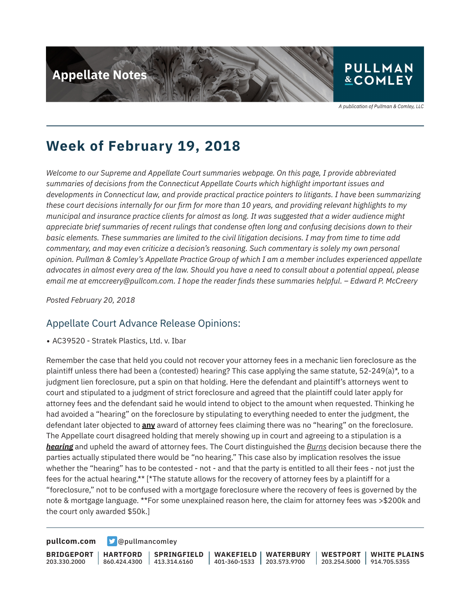

A publication of Pullman & Comley, LLC

## **Week of February 19, 2018**

*Welcome to our Supreme and Appellate Court summaries webpage. On this page, I provide abbreviated summaries of decisions from the Connecticut Appellate Courts which highlight important issues and developments in Connecticut law, and provide practical practice pointers to litigants. I have been summarizing these court decisions internally for our firm for more than 10 years, and providing relevant highlights to my municipal and insurance practice clients for almost as long. It was suggested that a wider audience might appreciate brief summaries of recent rulings that condense often long and confusing decisions down to their basic elements. These summaries are limited to the civil litigation decisions. I may from time to time add commentary, and may even criticize a decision's reasoning. Such commentary is solely my own personal opinion. Pullman & Comley's Appellate Practice Group of which I am a member includes experienced appellate advocates in almost every area of the law. Should you have a need to consult about a potential appeal, please email me at emccreery@pullcom.com. I hope the reader finds these summaries helpful. – Edward P. McCreery*

*Posted February 20, 2018*

#### Appellate Court Advance Release Opinions:

• AC39520 - Stratek Plastics, Ltd. v. Ibar

Remember the case that held you could not recover your attorney fees in a mechanic lien foreclosure as the plaintiff unless there had been a (contested) hearing? This case applying the same statute, 52-249(a)\*, to a judgment lien foreclosure, put a spin on that holding. Here the defendant and plaintiff's attorneys went to court and stipulated to a judgment of strict foreclosure and agreed that the plaintiff could later apply for attorney fees and the defendant said he would intend to object to the amount when requested. Thinking he had avoided a "hearing" on the foreclosure by stipulating to everything needed to enter the judgment, the defendant later objected to **any** award of attorney fees claiming there was no "hearing" on the foreclosure. The Appellate court disagreed holding that merely showing up in court and agreeing to a stipulation is a *hearing* and upheld the award of attorney fees. The Court distinguished the *Burns* decision because there the parties actually stipulated there would be "no hearing." This case also by implication resolves the issue whether the "hearing" has to be contested - not - and that the party is entitled to all their fees - not just the fees for the actual hearing.\*\* [\*The statute allows for the recovery of attorney fees by a plaintiff for a "foreclosure," not to be confused with a mortgage foreclosure where the recovery of fees is governed by the note & mortgage language. \*\*For some unexplained reason here, the claim for attorney fees was >\$200k and the court only awarded \$50k.]

**[pullcom.com](https://www.pullcom.com) g** [@pullmancomley](https://twitter.com/PullmanComley)

**BRIDGEPORT** 203.330.2000

**HARTFORD** 860.424.4300 **SPRINGFIELD**  $1413.314.6160$ 

**WAKEFIELD** 401-360-1533 **WATERBURY** 203.573.9700

**WESTPORT** 203.254.5000 914.705.5355 **WHITE PLAINS**